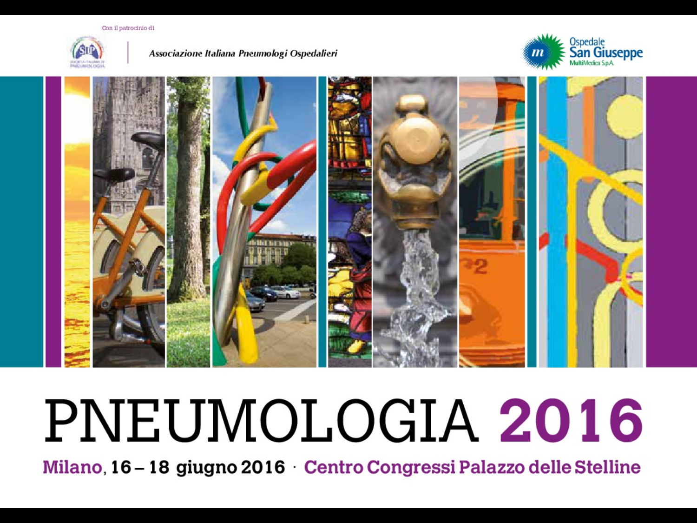Con il patrocinio di



Associazione Italiana Pneumologi Ospedalieri





# PNEUMOLOGIA 2016

Milano, 16 - 18 giugno 2016 Centro Congressi Palazzo delle Stelline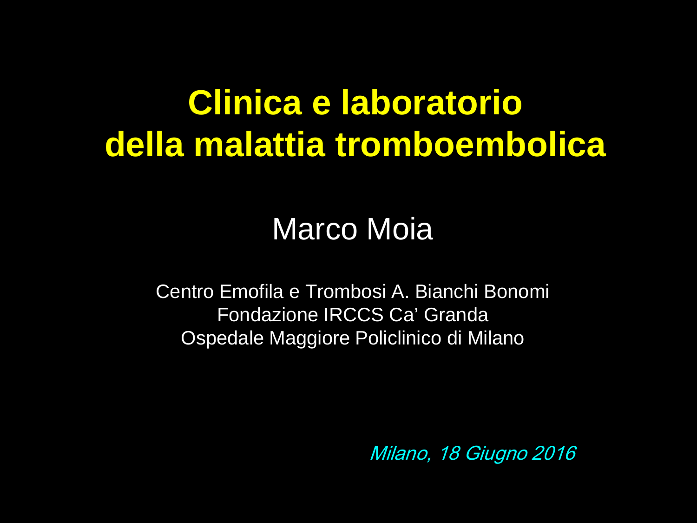### **Clinica e laboratorio della malattia tromboembolica**

#### Marco Moia

Centro Emofila e Trombosi A. Bianchi Bonomi Fondazione IRCCS Ca' Granda Ospedale Maggiore Policlinico di Milano

Milano, 18 Giugno 2016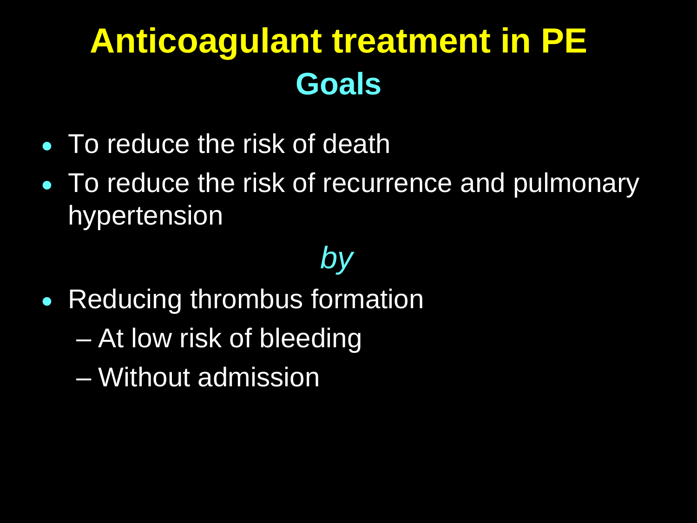# **Anticoagulant treatment in PE Goals**

- To reduce the risk of death
- To reduce the risk of recurrence and pulmonary hypertension

#### *by*

- Reducing thrombus formation
	- At low risk of bleeding
	- Without admission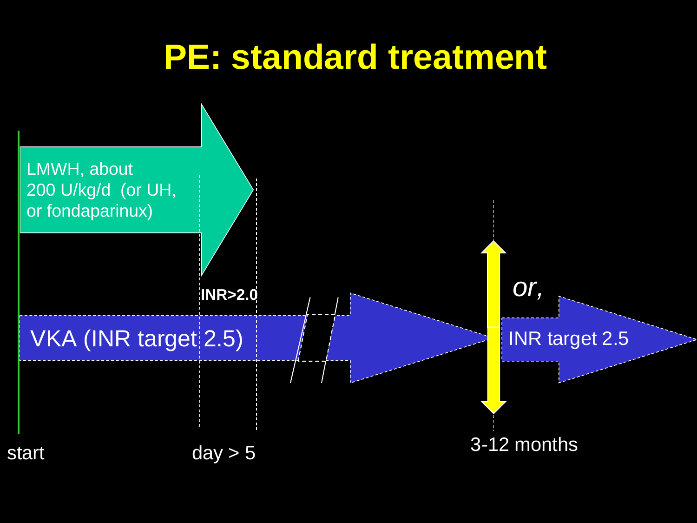#### **PE: standard treatment**

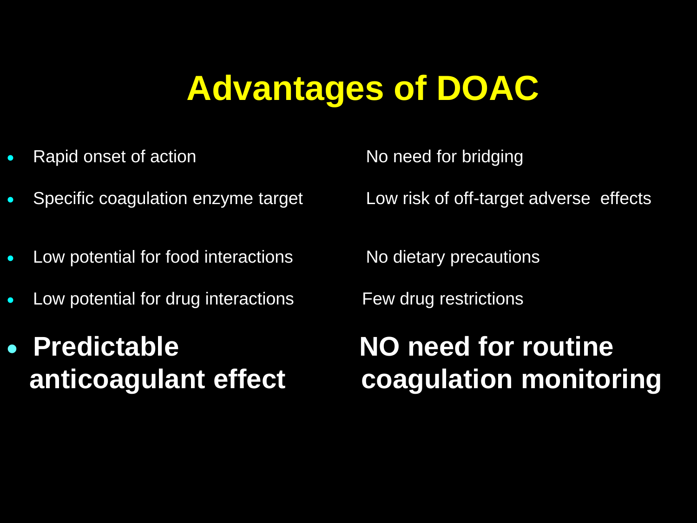## **Advantages of DOAC**

- Rapid onset of action No need for bridging
- 
- Low potential for food interactions No dietary precautions
- Low potential for drug interactions Few drug restrictions
- **Predictable NO need for routine**

• Specific coagulation enzyme target Low risk of off-target adverse effects

# **anticoagulant effect coagulation monitoring**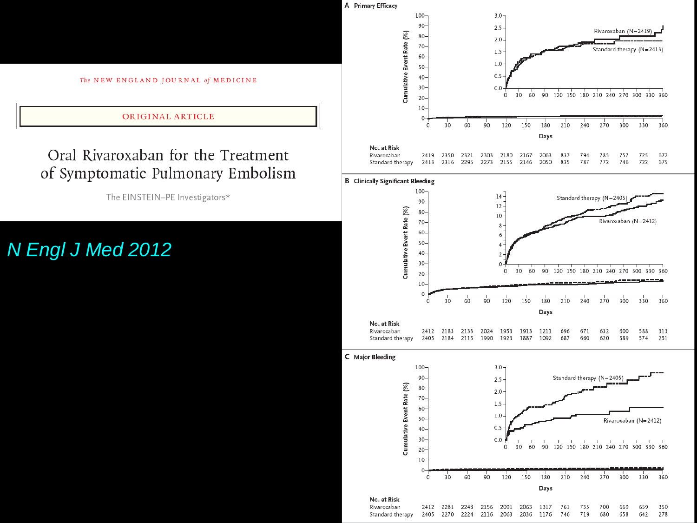

#### Oral Rivaroxaban for the Treatment of Symptomatic Pulmonary Embolism

The EINSTEIN-PE Investigators\*

#### N Engl J Med 2012



| No. at Risk                                                                 |  |  |  |                                                            |  |  |  |
|-----------------------------------------------------------------------------|--|--|--|------------------------------------------------------------|--|--|--|
| Rivaroxaban                                                                 |  |  |  | 2412 2183 2133 2024 1953 1913 1211 696 671 632 600 588 313 |  |  |  |
| Standard therapy 2405 2184 2115 1990 1923 1887 1092 687 660 620 589 574 251 |  |  |  |                                                            |  |  |  |

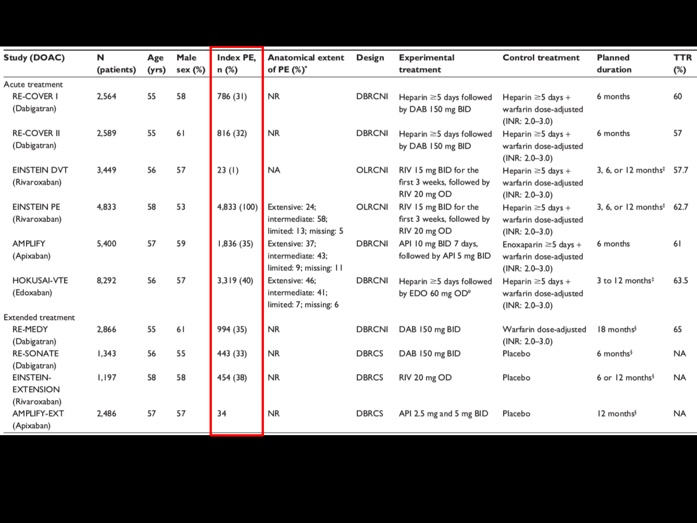| <b>Study (DOAC)</b>                                  | N<br>(patients) | Age<br>(yrs) | Male<br>sex (%) | Index PE,<br>n (%) | <b>Anatomical extent</b><br>of PE (%)*                         | Design        | <b>Experimental</b><br>treatment                                    | <b>Control treatment</b>                                                   | <b>Planned</b><br>duration                   | <b>TTR</b><br>$(\%)$ |
|------------------------------------------------------|-----------------|--------------|-----------------|--------------------|----------------------------------------------------------------|---------------|---------------------------------------------------------------------|----------------------------------------------------------------------------|----------------------------------------------|----------------------|
| Acute treatment<br><b>RE-COVER I</b><br>(Dabigatran) | 2,564           | 55           | 58              | 786 (31)           | <b>NR</b>                                                      | <b>DBRCNI</b> | Heparin $\geq$ 5 days followed<br>by DAB 150 mg BID                 | Heparin $\geq$ 5 days +<br>warfarin dose-adjusted<br>$(INR: 2.0 - 3.0)$    | 6 months                                     | 60                   |
| <b>RE-COVER II</b><br>(Dabigatran)                   | 2,589           | 55           | 61              | 816 (32)           | <b>NR</b>                                                      | <b>DBRCNI</b> | Heparin $\geq$ 5 days followed<br>by DAB 150 mg BID                 | Heparin $\geq$ 5 days +<br>warfarin dose-adjusted<br>$(INR: 2.0 - 3.0)$    | 6 months                                     | 57                   |
| <b>EINSTEIN DVT</b><br>(Rivaroxaban)                 | 3,449           | 56           | 57              | 23(1)              | <b>NA</b>                                                      | OLRCNI        | RIV 15 mg BID for the<br>first 3 weeks, followed by<br>RIV 20 mg OD | Heparin $\geq$ 5 days +<br>warfarin dose-adjusted<br>$(INR: 2.0 - 3.0)$    | 3, 6, or 12 months <sup><math>‡</math></sup> | 57.7                 |
| <b>EINSTEIN PE</b><br>(Rivaroxaban)                  | 4.833           | 58           | 53              | 4,833 (100)        | Extensive: 24:<br>intermediate: 58;<br>limited: 13; missing: 5 | <b>OLRCNI</b> | RIV 15 mg BID for the<br>first 3 weeks, followed by<br>RIV 20 mg OD | Heparin $\geq$ 5 days +<br>warfarin dose-adjusted<br>$(INR: 2.0 - 3.0)$    | 3, 6, or $12$ months <sup>‡</sup>            | 62.7                 |
| <b>AMPLIFY</b><br>(Apixaban)                         | 5,400           | 57           | 59              | 1,836 (35)         | Extensive: 37:<br>intermediate: 43;<br>limited: 9; missing: 11 | <b>DBRCNI</b> | API 10 mg BID 7 days,<br>followed by API 5 mg BID                   | Enoxaparin $\geq$ 5 days +<br>warfarin dose-adjusted<br>$(INR: 2.0 - 3.0)$ | 6 months                                     | 61                   |
| <b>HOKUSAI-VTE</b><br>(Edoxaban)                     | 8,292           | 56           | 57              | 3,319 (40)         | Extensive: 46:<br>intermediate: 41;<br>limited: 7; missing: 6  | <b>DBRCNI</b> | Heparin $\geq$ 5 days followed<br>by EDO 60 mg OD <sup>#</sup>      | Heparin $\geq$ 5 days +<br>warfarin dose-adjusted<br>$(INR: 2.0 - 3.0)$    | 3 to 12 months <sup>‡</sup>                  | 63.5                 |
| <b>Extended treatment</b>                            |                 |              |                 |                    |                                                                |               |                                                                     |                                                                            |                                              |                      |
| <b>RE-MEDY</b><br>(Dabigatran)                       | 2,866           | 55           | 61              | 994 (35)           | <b>NR</b>                                                      | <b>DBRCNI</b> | DAB 150 mg BID                                                      | Warfarin dose-adjusted<br>$(INR: 2.0 - 3.0)$                               | 18 months <sup>§</sup>                       | 65                   |
| <b>RE-SONATE</b><br>(Dabigatran)                     | 1.343           | 56           | 55              | 443 (33)           | <b>NR</b>                                                      | <b>DBRCS</b>  | DAB 150 mg BID                                                      | Placebo                                                                    | 6 months $\frac{5}{3}$                       | <b>NA</b>            |
| <b>EINSTEIN-</b><br><b>EXTENSION</b>                 | 1,197           | 58           | 58              | 454 (38)           | <b>NR</b>                                                      | <b>DBRCS</b>  | RIV 20 mg OD                                                        | Placebo                                                                    | 6 or 12 months <sup>§</sup>                  | <b>NA</b>            |
| (Rivaroxaban)<br>AMPLIFY-EXT<br>(Apixaban)           | 2,486           | 57           | 57              | 34                 | <b>NR</b>                                                      | <b>DBRCS</b>  | API 2.5 mg and 5 mg BID                                             | Placebo                                                                    | 12 months <sup>§</sup>                       | <b>NA</b>            |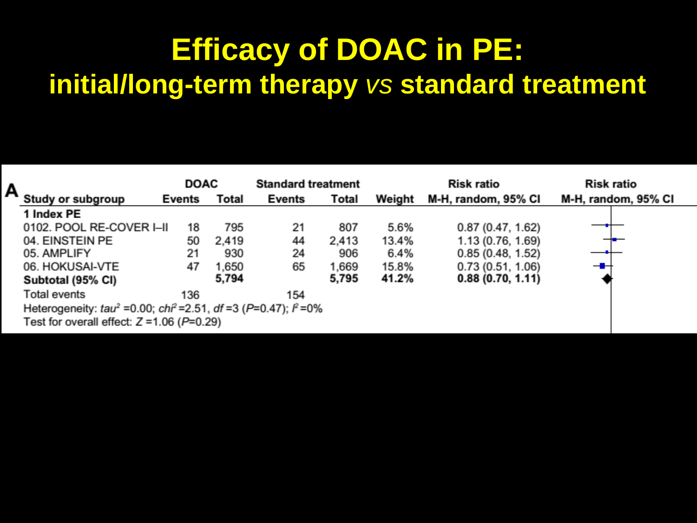#### **Efficacy of DOAC in PE: initial/long-term therapy** *vs* **standard treatment**

| А |                                                                                                | <b>DOAC</b> |              | <b>Standard treatment</b> |       |        | <b>Risk ratio</b>   | <b>Risk ratio</b>   |
|---|------------------------------------------------------------------------------------------------|-------------|--------------|---------------------------|-------|--------|---------------------|---------------------|
|   | Study or subgroup                                                                              | Events      | <b>Total</b> | <b>Events</b>             | Total | Weight | M-H, random, 95% CI | M-H, random, 95% CI |
|   | 1 Index PE                                                                                     |             |              |                           |       |        |                     |                     |
|   | 0102. POOL RE-COVER I–II                                                                       | 18          | 795          | 21                        | 807   | 5.6%   | 0.87(0.47, 1.62)    |                     |
|   | 04. EINSTEIN PE                                                                                | 50          | 2,419        | 44                        | 2,413 | 13.4%  | 1.13 (0.76, 1.69)   |                     |
|   | 05. AMPLIFY                                                                                    | 21          | 930          | 24                        | 906   | 6.4%   | 0.85(0.48, 1.52)    |                     |
|   | 06. HOKUSAI-VTE                                                                                | 47          | 1,650        | 65                        | 1,669 | 15.8%  | 0.73(0.51, 1.06)    |                     |
|   | Subtotal (95% CI)                                                                              |             | 5,794        |                           | 5,795 | 41.2%  | 0.88(0.70, 1.11)    |                     |
|   | Total events                                                                                   | 136         |              | 154                       |       |        |                     |                     |
|   | Heterogeneity: tau <sup>2</sup> = 0.00; chi <sup>2</sup> = 2.51, df = 3 (P=0.47); $\beta$ = 0% |             |              |                           |       |        |                     |                     |
|   | Test for overall effect: $Z = 1.06$ ( $P = 0.29$ )                                             |             |              |                           |       |        |                     |                     |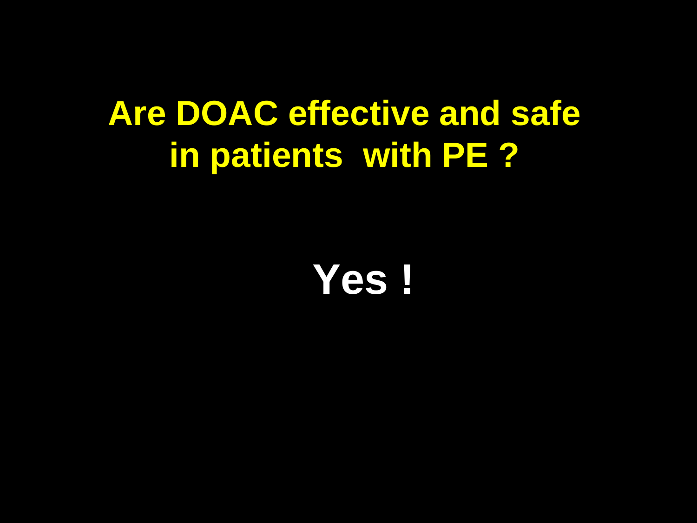### **Are DOAC effective and safe in patients with PE ?**

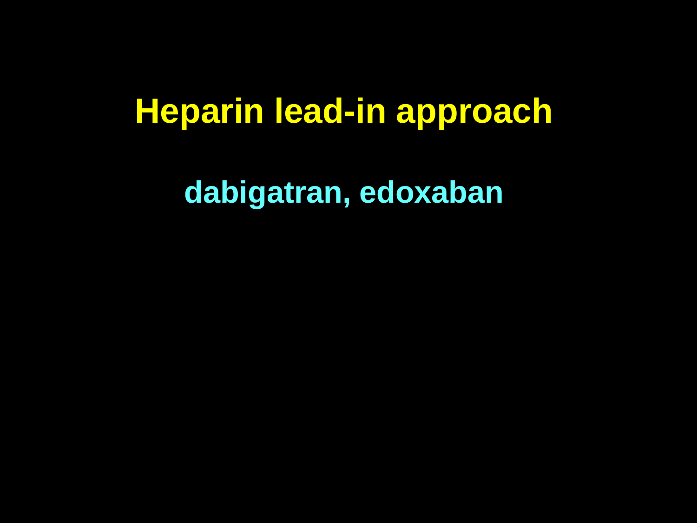#### Heparin lead-in approach

dabigatran, edoxaban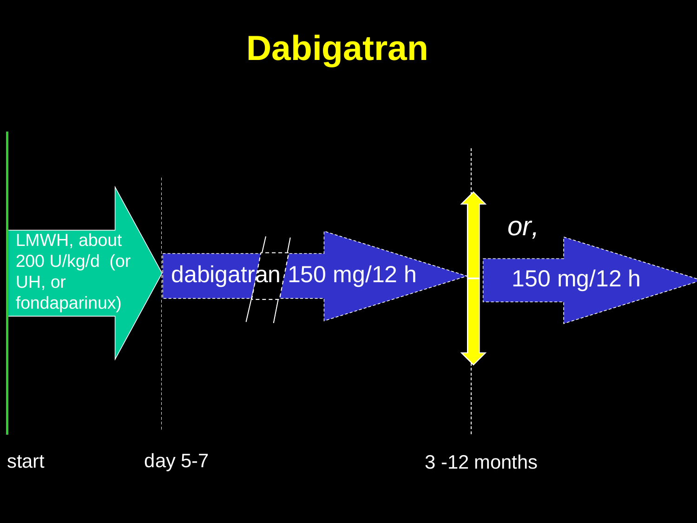## Dabigatran

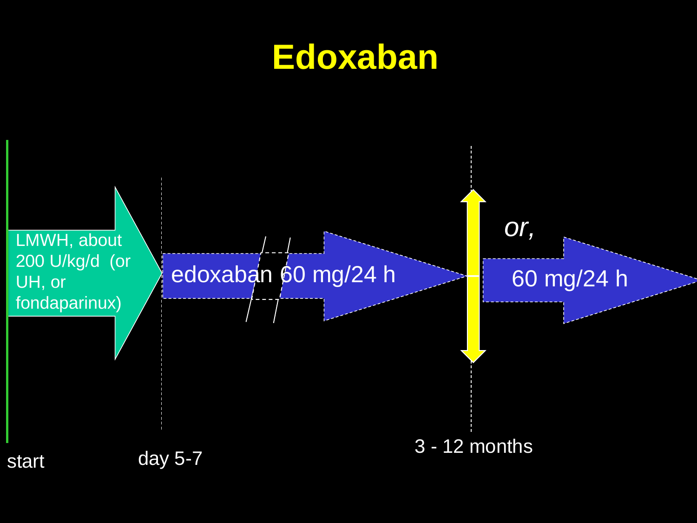

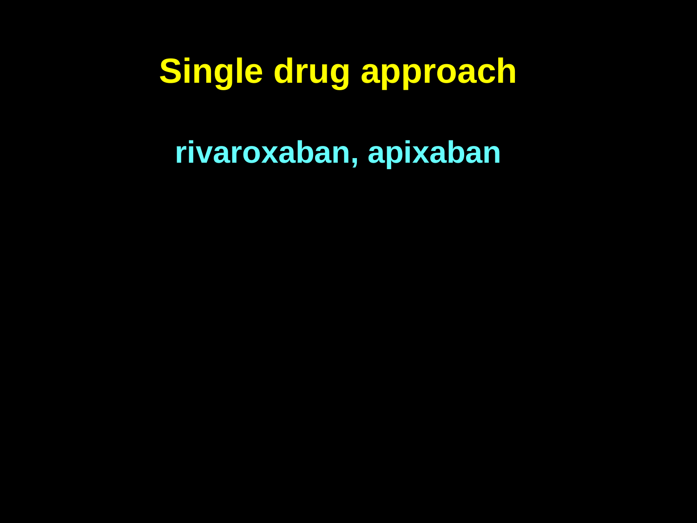### Single drug approach

rivaroxaban, apixaban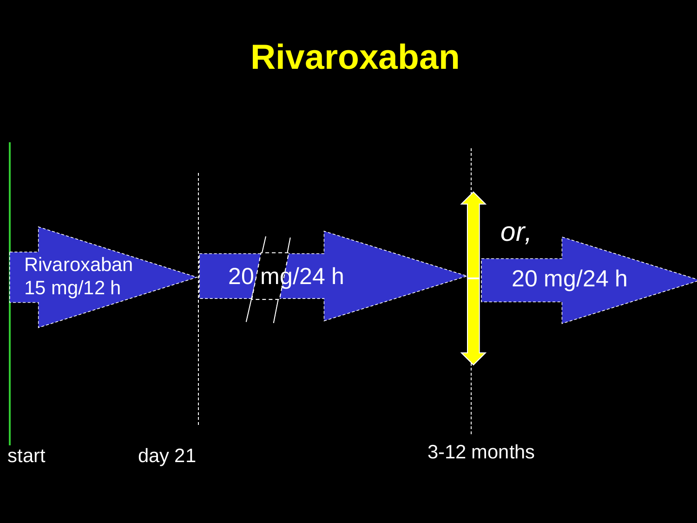#### **Rivaroxaban**

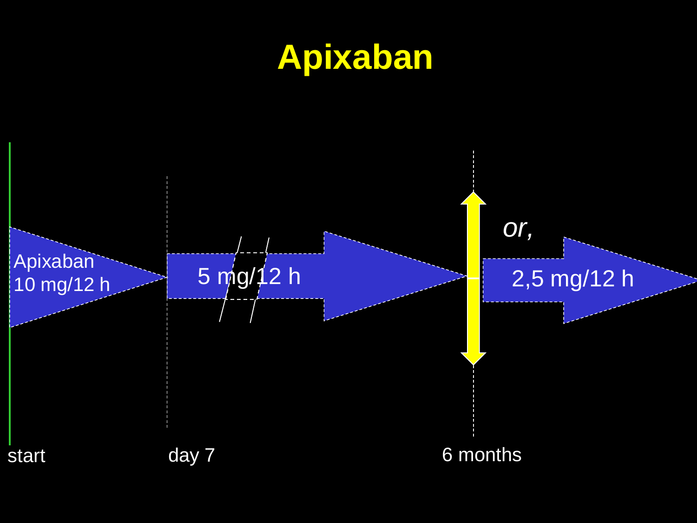# **Apixaban**

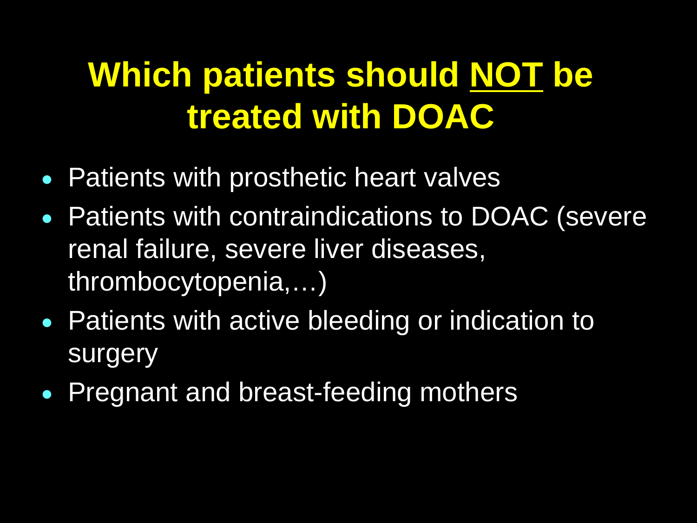# **Which patients should NOT be treated with DOAC**

- Patients with prosthetic heart valves
- Patients with contraindications to DOAC (severe renal failure, severe liver diseases, thrombocytopenia,…)
- Patients with active bleeding or indication to surgery
- Pregnant and breast-feeding mothers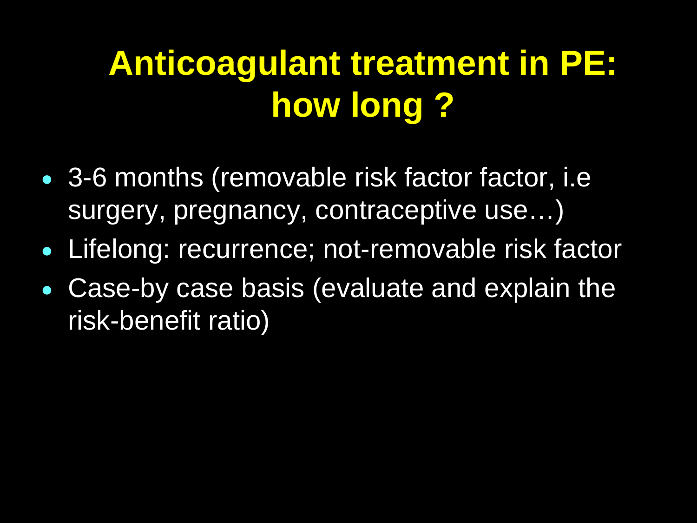# **Anticoagulant treatment in PE: how long ?**

- 3-6 months (removable risk factor factor, i.e surgery, pregnancy, contraceptive use…)
- Lifelong: recurrence; not-removable risk factor
- Case-by case basis (evaluate and explain the risk-benefit ratio)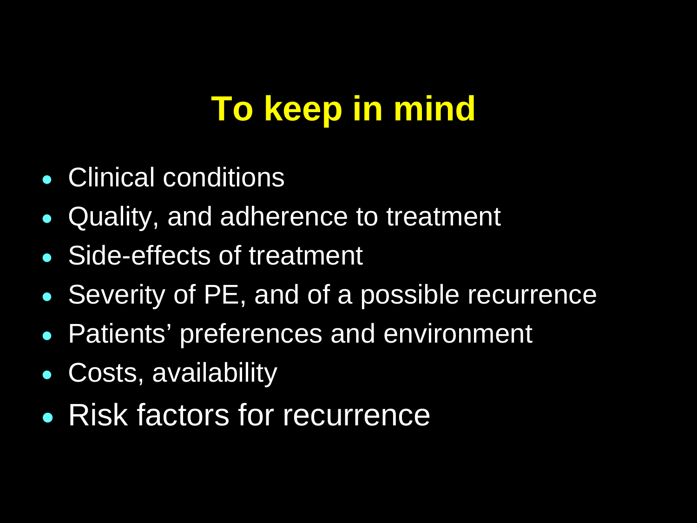# **To keep in mind**

- Clinical conditions
- Quality, and adherence to treatment
- Side-effects of treatment
- Severity of PE, and of a possible recurrence
- Patients' preferences and environment
- Costs, availability
- Risk factors for recurrence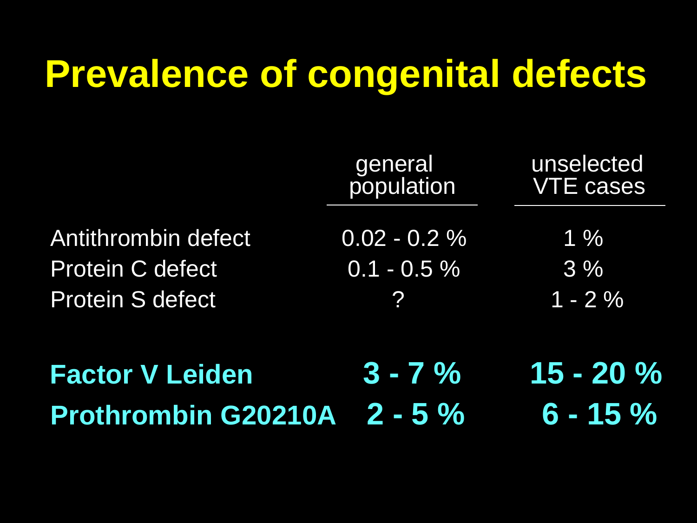# **Prevalence of congenital defects**

| <b>Prothrombin G20210A</b> 2 - 5 % |                       | $6 - 15 \%$                    |
|------------------------------------|-----------------------|--------------------------------|
| <b>Factor V Leiden</b>             | $3 - 7\%$             | $15 - 20 \%$                   |
| <b>Protein S defect</b>            | $\mathbf{P}$          | $1 - 2\%$                      |
| <b>Protein C defect</b>            | $0.1 - 0.5 \%$        | 3%                             |
| Antithrombin defect                | $0.02 - 0.2 \%$       | $1\%$                          |
|                                    | general<br>population | unselected<br><b>VTE cases</b> |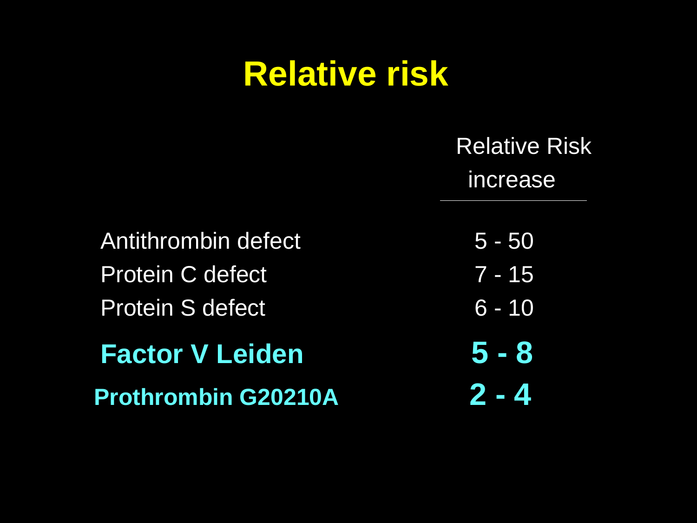### **Relative risk**

|                            | <b>Relative Risk</b><br>increase |
|----------------------------|----------------------------------|
| Antithrombin defect        | $5 - 50$                         |
| <b>Protein C defect</b>    | $7 - 15$                         |
| <b>Protein S defect</b>    | $6 - 10$                         |
| <b>Factor V Leiden</b>     | $5 - 8$                          |
| <b>Prothrombin G20210A</b> | $2 - 4$                          |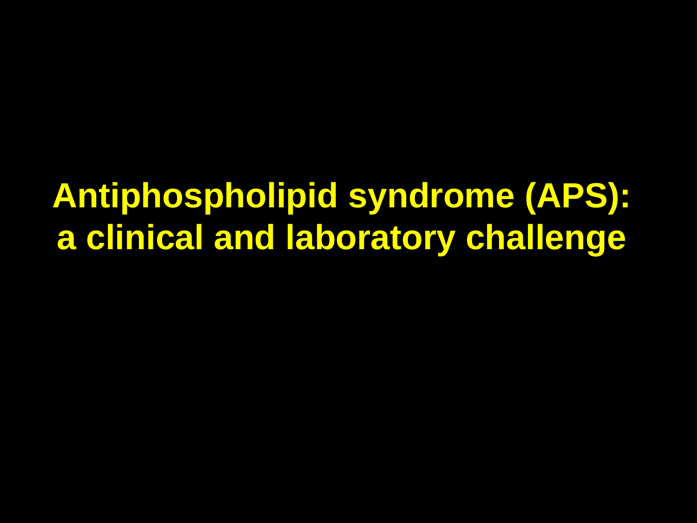**Antiphospholipid syndrome (APS): a clinical and laboratory challenge**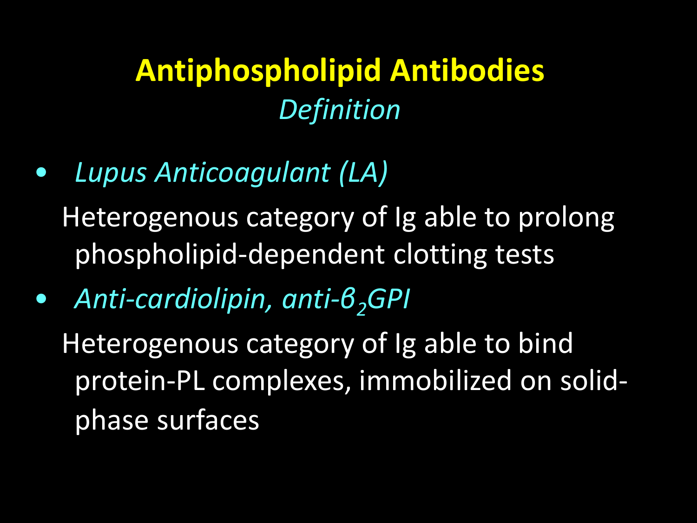#### **Antiphospholipid Antibodies** *Definition*

• *Lupus Anticoagulant (LA)*

Heterogenous category of Ig able to prolong phospholipid-dependent clotting tests

• *Anti-cardiolipin, anti-β2GPI*

Heterogenous category of Ig able to bind protein-PL complexes, immobilized on solidphase surfaces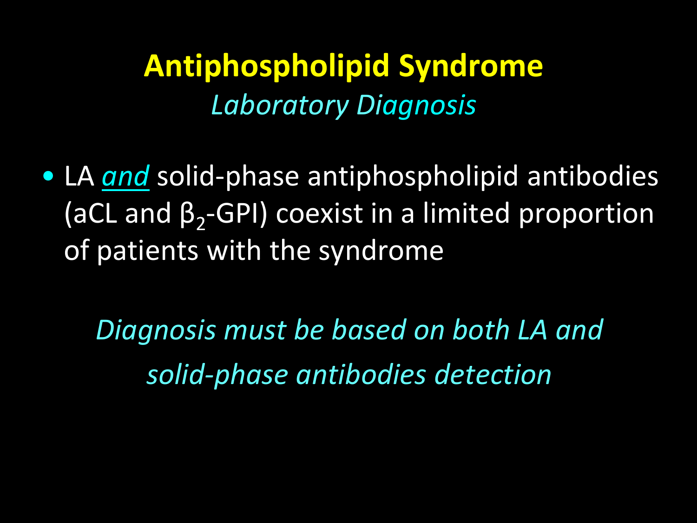#### **Antiphospholipid Syndrome**  *Laboratory Diagnosis*

• LA *and* solid-phase antiphospholipid antibodies (aCL and  $\beta_2$ -GPI) coexist in a limited proportion of patients with the syndrome

*Diagnosis must be based on both LA and solid-phase antibodies detection*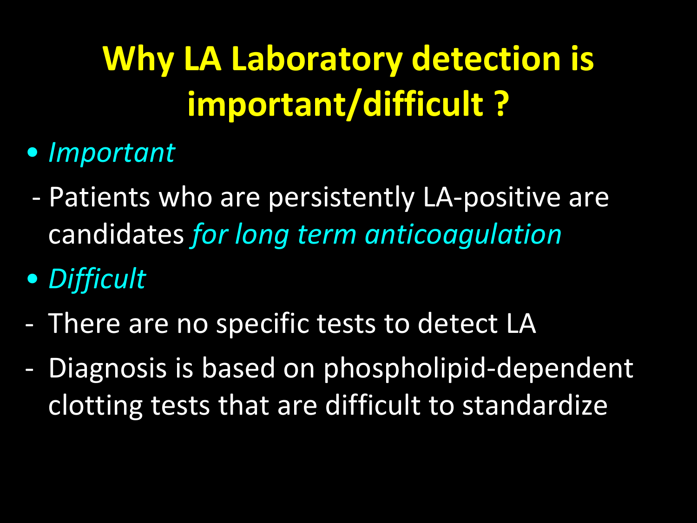# **Why LA Laboratory detection is important/difficult ?**

- *Important*
- Patients who are persistently LA-positive are candidates *for long term anticoagulation*
- *Difficult*
- There are no specific tests to detect LA
- Diagnosis is based on phospholipid-dependent clotting tests that are difficult to standardize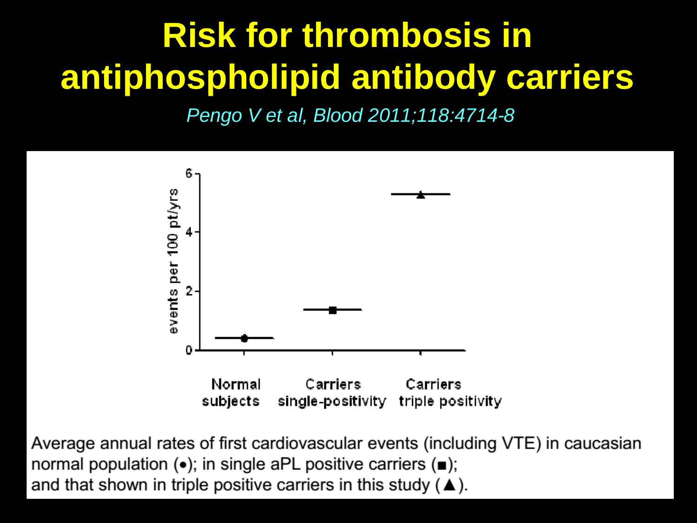# **Risk for thrombosis in antiphospholipid antibody carriers**

*Pengo V et al, Blood 2011;118:4714-8*



Average annual rates of first cardiovascular events (including VTE) in caucasian normal population  $(\bullet)$ ; in single aPL positive carriers  $(\bullet)$ ; and that shown in triple positive carriers in this study ( $\blacktriangle$ ).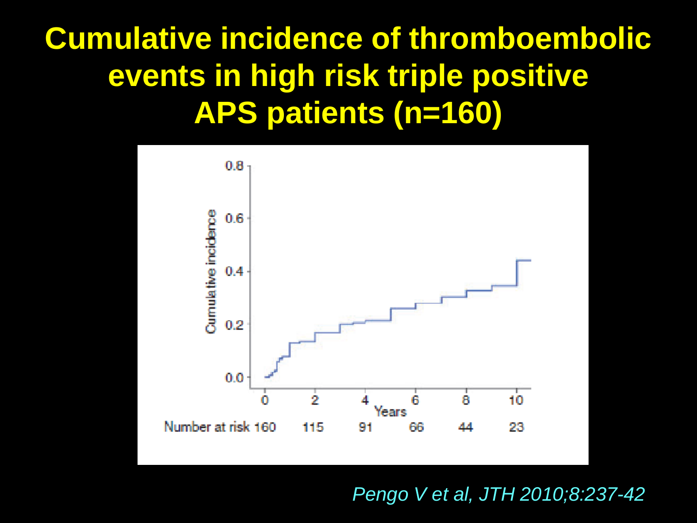#### **Cumulative incidence of thromboembolic events in high risk triple positive APS patients (n=160)**



*Pengo V et al, JTH 2010;8:237-42*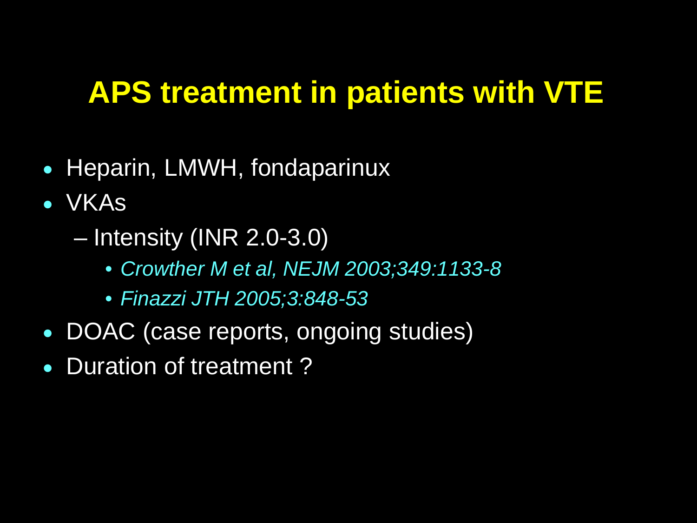#### **APS treatment in patients with VTE**

- Heparin, LMWH, fondaparinux
- VKAs
	- Intensity (INR 2.0-3.0)
		- *Crowther M et al, NEJM 2003;349:1133-8*
		- *Finazzi JTH 2005;3:848-53*
- DOAC (case reports, ongoing studies)
- Duration of treatment?